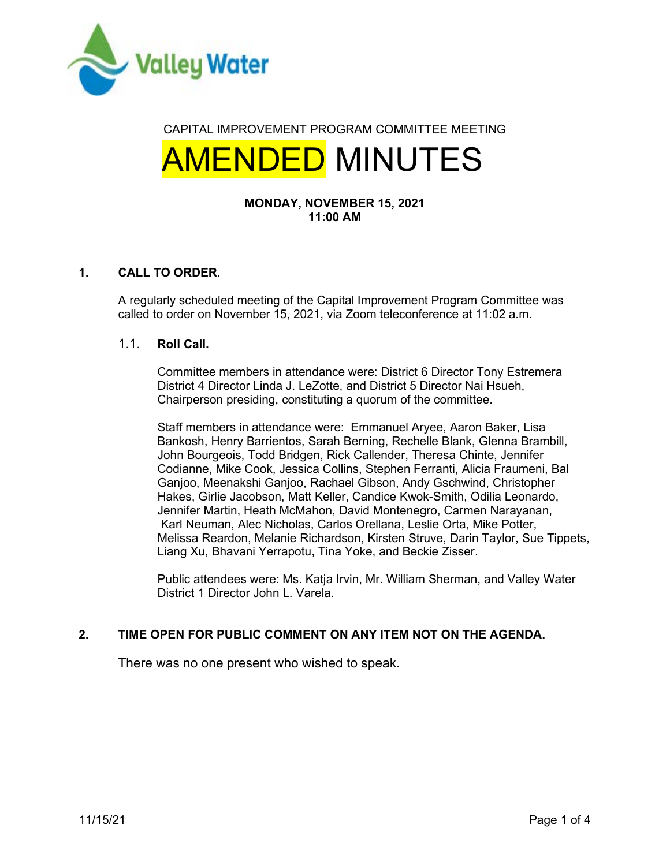

# CAPITAL IMPROVEMENT PROGRAM COMMITTEE MEETING

# AMENDED MINUTES

## **MONDAY, NOVEMBER 15, 2021 11:00 AM**

# **1. CALL TO ORDER**.

A regularly scheduled meeting of the Capital Improvement Program Committee was called to order on November 15, 2021, via Zoom teleconference at 11:02 a.m.

#### 1.1. **Roll Call.**

Committee members in attendance were: District 6 Director Tony Estremera District 4 Director Linda J. LeZotte, and District 5 Director Nai Hsueh, Chairperson presiding, constituting a quorum of the committee.

Staff members in attendance were: Emmanuel Aryee, Aaron Baker, Lisa Bankosh, Henry Barrientos, Sarah Berning, Rechelle Blank, Glenna Brambill, John Bourgeois, Todd Bridgen, Rick Callender, Theresa Chinte, Jennifer Codianne, Mike Cook, Jessica Collins, Stephen Ferranti, Alicia Fraumeni, Bal Ganjoo, Meenakshi Ganjoo, Rachael Gibson, Andy Gschwind, Christopher Hakes, Girlie Jacobson, Matt Keller, Candice Kwok-Smith, Odilia Leonardo, Jennifer Martin, Heath McMahon, David Montenegro, Carmen Narayanan, Karl Neuman, Alec Nicholas, Carlos Orellana, Leslie Orta, Mike Potter, Melissa Reardon, Melanie Richardson, Kirsten Struve, Darin Taylor, Sue Tippets, Liang Xu, Bhavani Yerrapotu, Tina Yoke, and Beckie Zisser.

Public attendees were: Ms. Katja Irvin, Mr. William Sherman, and Valley Water District 1 Director John L. Varela.

# **2. TIME OPEN FOR PUBLIC COMMENT ON ANY ITEM NOT ON THE AGENDA.**

There was no one present who wished to speak.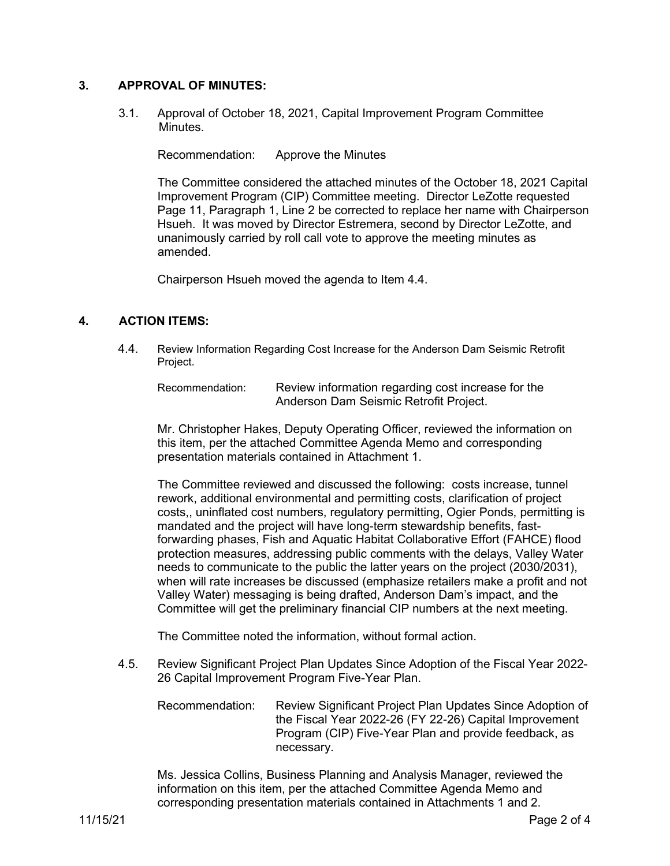## **3. APPROVAL OF MINUTES:**

3.1. Approval of October 18, 2021, Capital Improvement Program Committee Minutes.

Recommendation: Approve the Minutes

The Committee considered the attached minutes of the October 18, 2021 Capital Improvement Program (CIP) Committee meeting. Director LeZotte requested Page 11, Paragraph 1, Line 2 be corrected to replace her name with Chairperson Hsueh. It was moved by Director Estremera, second by Director LeZotte, and unanimously carried by roll call vote to approve the meeting minutes as amended.

Chairperson Hsueh moved the agenda to Item 4.4.

## **4. ACTION ITEMS:**

4.4. Review Information Regarding Cost Increase for the Anderson Dam Seismic Retrofit Project.

Recommendation: Review information regarding cost increase for the Anderson Dam Seismic Retrofit Project.

Mr. Christopher Hakes, Deputy Operating Officer, reviewed the information on this item, per the attached Committee Agenda Memo and corresponding presentation materials contained in Attachment 1.

The Committee reviewed and discussed the following: costs increase, tunnel rework, additional environmental and permitting costs, clarification of project costs,, uninflated cost numbers, regulatory permitting, Ogier Ponds, permitting is mandated and the project will have long-term stewardship benefits, fastforwarding phases, Fish and Aquatic Habitat Collaborative Effort (FAHCE) flood protection measures, addressing public comments with the delays, Valley Water needs to communicate to the public the latter years on the project (2030/2031), when will rate increases be discussed (emphasize retailers make a profit and not Valley Water) messaging is being drafted, Anderson Dam's impact, and the Committee will get the preliminary financial CIP numbers at the next meeting.

The Committee noted the information, without formal action.

4.5. Review Significant Project Plan Updates Since Adoption of the Fiscal Year 2022- 26 Capital Improvement Program Five-Year Plan.

Recommendation: Review Significant Project Plan Updates Since Adoption of the Fiscal Year 2022-26 (FY 22-26) Capital Improvement Program (CIP) Five-Year Plan and provide feedback, as necessary.

Ms. Jessica Collins, Business Planning and Analysis Manager, reviewed the information on this item, per the attached Committee Agenda Memo and corresponding presentation materials contained in Attachments 1 and 2.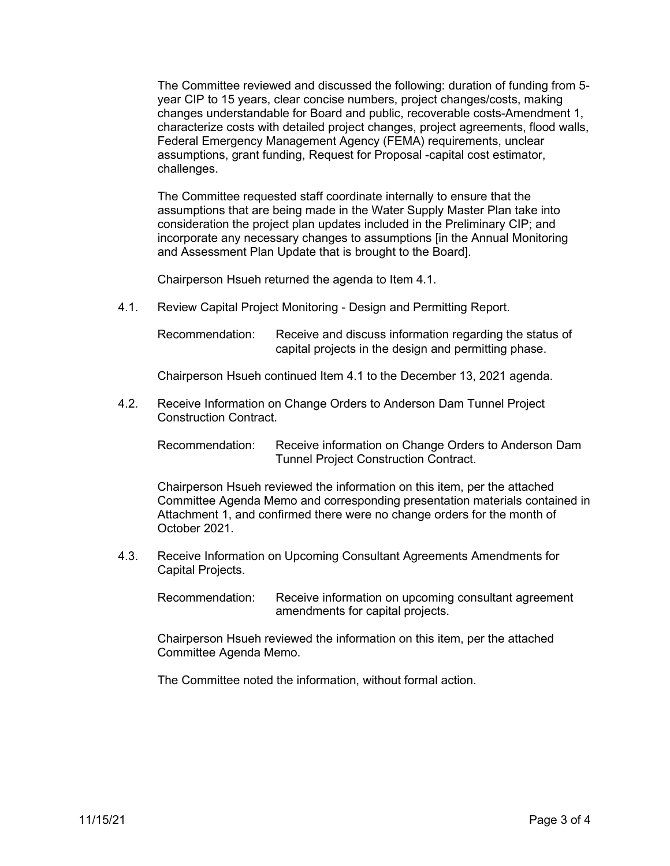The Committee reviewed and discussed the following: duration of funding from 5 year CIP to 15 years, clear concise numbers, project changes/costs, making changes understandable for Board and public, recoverable costs-Amendment 1, characterize costs with detailed project changes, project agreements, flood walls, Federal Emergency Management Agency (FEMA) requirements, unclear assumptions, grant funding, Request for Proposal -capital cost estimator, challenges.

The Committee requested staff coordinate internally to ensure that the assumptions that are being made in the Water Supply Master Plan take into consideration the project plan updates included in the Preliminary CIP; and incorporate any necessary changes to assumptions [in the Annual Monitoring and Assessment Plan Update that is brought to the Board].

Chairperson Hsueh returned the agenda to Item 4.1.

4.1. Review Capital Project Monitoring - Design and Permitting Report.

Recommendation: Receive and discuss information regarding the status of capital projects in the design and permitting phase.

Chairperson Hsueh continued Item 4.1 to the December 13, 2021 agenda.

4.2. Receive Information on Change Orders to Anderson Dam Tunnel Project Construction Contract.

Recommendation: Receive information on Change Orders to Anderson Dam Tunnel Project Construction Contract.

Chairperson Hsueh reviewed the information on this item, per the attached Committee Agenda Memo and corresponding presentation materials contained in Attachment 1, and confirmed there were no change orders for the month of October 2021.

4.3. Receive Information on Upcoming Consultant Agreements Amendments for Capital Projects.

Recommendation: Receive information on upcoming consultant agreement amendments for capital projects.

Chairperson Hsueh reviewed the information on this item, per the attached Committee Agenda Memo.

The Committee noted the information, without formal action.